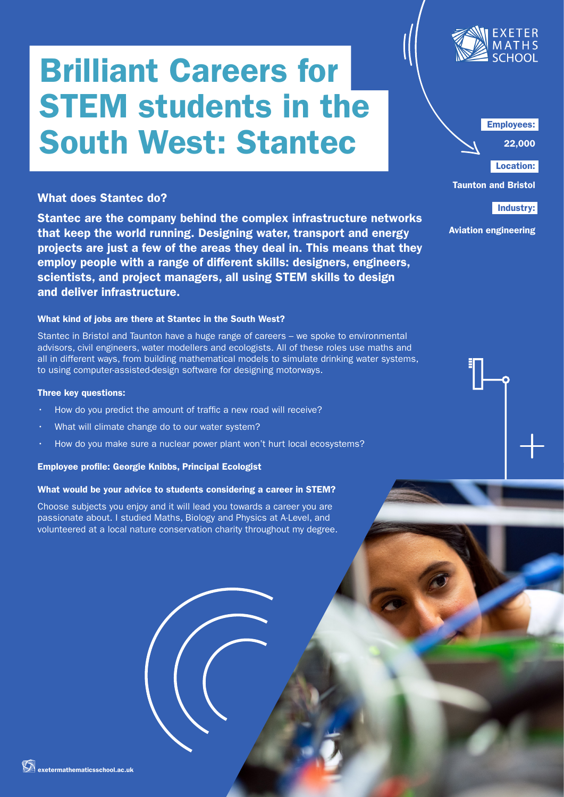# Brilliant Careers for STEM students in the South West: Stantec

# What does Stantec do?

Stantec are the company behind the complex infrastructure networks that keep the world running. Designing water, transport and energy projects are just a few of the areas they deal in. This means that they employ people with a range of different skills: designers, engineers, scientists, and project managers, all using STEM skills to design and deliver infrastructure.

# What kind of jobs are there at Stantec in the South West?

Stantec in Bristol and Taunton have a huge range of careers – we spoke to environmental advisors, civil engineers, water modellers and ecologists. All of these roles use maths and all in different ways, from building mathematical models to simulate drinking water systems, to using computer-assisted-design software for designing motorways.

### Three key questions:

- How do you predict the amount of traffic a new road will receive?
- What will climate change do to our water system?
- How do you make sure a nuclear power plant won't hurt local ecosystems?

#### Employee profile: Georgie Knibbs, Principal Ecologist

# What would be your advice to students considering a career in STEM?

Choose subjects you enjoy and it will lead you towards a career you are passionate about. I studied Maths, Biology and Physics at A-Level, and volunteered at a local nature conservation charity throughout my degree.



Employees:

22,000

Location: Taunton and Bristol

Industry:

Aviation engineering